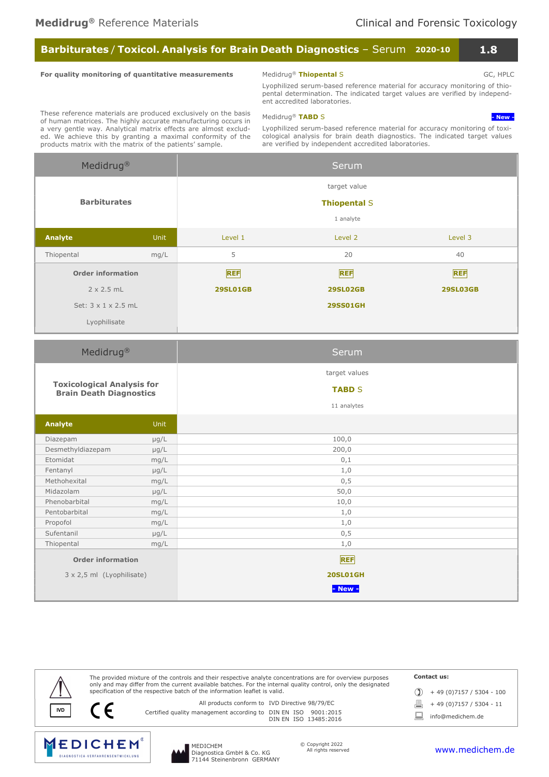# Barbiturates / Toxicol. Analysis for Brain Death Diagnostics - Serum 2020-10 1.8

### For quality monitoring of quantitative measurements

# Medidrug<sup>®</sup> Thiopental S GC, HPLC

Lyophilized serum-based reference material for accuracy monitoring of thiopental determination. The indicated target values are verified by independent accredited laboratories.

These reference materials are produced exclusively on the basis of human matrices. The highly accurate manufacturing occurs in a very gentle way. Analytical matrix effects are almost excluded. We achieve this by granting a maximal conformity of the products matrix with the matrix of the patients' sample.

Medidrug<sup>®</sup> TABD S - New - New - New - New -

Lyophilized serum-based reference material for accuracy monitoring of toxicological analysis for brain death diagnostics. The indicated target values are verified by independent accredited laboratories.

| Medidrug <sup>®</sup>                                               |       | Serum                                            |                                    |         |  |  |  |  |
|---------------------------------------------------------------------|-------|--------------------------------------------------|------------------------------------|---------|--|--|--|--|
|                                                                     |       | target value<br><b>Thiopental S</b><br>1 analyte |                                    |         |  |  |  |  |
| <b>Barbiturates</b>                                                 |       |                                                  |                                    |         |  |  |  |  |
|                                                                     |       |                                                  |                                    |         |  |  |  |  |
| Analyte                                                             | Unit  | Level 1                                          | Level 2                            | Level 3 |  |  |  |  |
| Thiopental                                                          | mg/L  | 5                                                | 20                                 | 40      |  |  |  |  |
| <b>Order information</b>                                            |       | <b>REF</b>                                       | <b>REF</b>                         |         |  |  |  |  |
| $2 \times 2.5$ mL                                                   |       | <b>29SL01GB</b>                                  | <b>29SL02GB</b><br><b>29SL03GB</b> |         |  |  |  |  |
| Set: 3 x 1 x 2.5 mL                                                 |       | <b>29SS01GH</b>                                  |                                    |         |  |  |  |  |
| Lyophilisate                                                        |       |                                                  |                                    |         |  |  |  |  |
| Medidrug <sup>®</sup>                                               |       |                                                  | Serum                              |         |  |  |  |  |
|                                                                     |       |                                                  | target values                      |         |  |  |  |  |
| <b>Toxicological Analysis for</b><br><b>Brain Death Diagnostics</b> |       |                                                  | <b>TABD S</b>                      |         |  |  |  |  |
|                                                                     |       | 11 analytes                                      |                                    |         |  |  |  |  |
| <b>Analyte</b>                                                      | Unit. |                                                  |                                    |         |  |  |  |  |

| Analyte                          | <b>Unit</b> |                 |
|----------------------------------|-------------|-----------------|
| Diazepam                         | $\mu$ g/L   | 100,0           |
| Desmethyldiazepam                | $\mu$ g/L   | 200,0           |
| Etomidat                         | mg/L        | 0,1             |
| Fentanyl                         | $\mu$ g/L   | 1,0             |
| Methohexital                     | mg/L        | 0, 5            |
| Midazolam                        | $\mu$ g/L   | 50,0            |
| Phenobarbital                    | mg/L        | 10,0            |
| Pentobarbital                    | mg/L        | 1,0             |
| Propofol                         | mg/L        | 1,0             |
| Sufentanil                       | $\mu$ g/L   | 0,5             |
| Thiopental                       | mg/L        | 1,0             |
| <b>Order information</b>         |             | <b>REF</b>      |
| $3 \times 2,5$ ml (Lyophilisate) |             | <b>20SL01GH</b> |
|                                  |             | $-$ New $-$     |

|            | The provided mixture of the controls and their respective analyte concentrations are for overview purposes<br>only and may differ from the current available batches. For the internal quality control, only the designated | Contact us:                   |  |  |
|------------|-----------------------------------------------------------------------------------------------------------------------------------------------------------------------------------------------------------------------------|-------------------------------|--|--|
|            | specification of the respective batch of the information leaflet is valid.                                                                                                                                                  | $+49(0)7157/5304 - 100$       |  |  |
|            | All products conform to IVD Directive 98/79/EC                                                                                                                                                                              | + 49 (0)7157 / 5304 - 11<br>且 |  |  |
| <b>IVD</b> | Certified quality management according to DIN EN ISO 9001:2015<br>DIN EN ISO 13485:2016                                                                                                                                     | info@medichem.de              |  |  |
|            |                                                                                                                                                                                                                             |                               |  |  |



MEDICHEM Diagnostica GmbH & Co. KG 71144 Steinenbronn GERMANY © Copyright 2022 All rights reserved

### www.medichem.de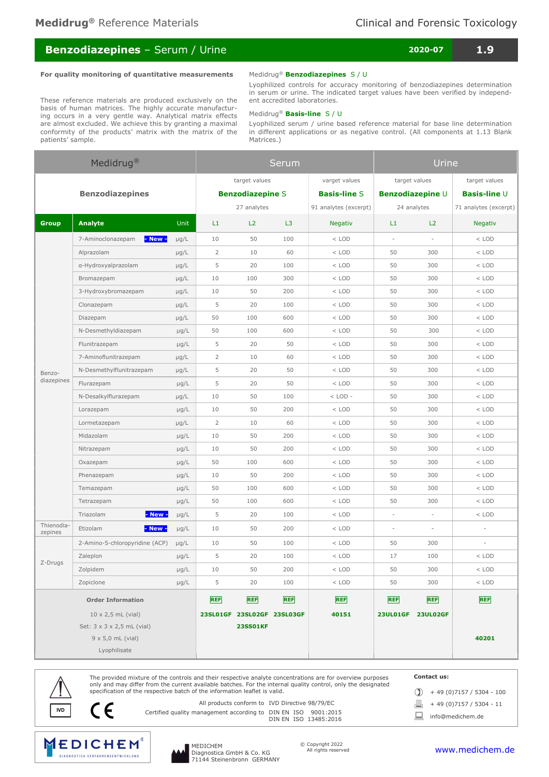# Benzodiazepines – Serum / Urine 2020-07 2020-07 1.9

### For quality monitoring of quantitative measurements

## Medidrug<sup>®</sup> Benzodiazepines S / U

 Lyophilized controls for accuracy monitoring of benzodiazepines determination in serum or urine. The indicated target values have been verified by independent accredited laboratories.

### These reference materials are produced exclusively on the basis of human matrices. The highly accurate manufacturing occurs in a very gentle way. Analytical matrix effects are almost excluded. We achieve this by granting a maximal conformity of the products' matrix with the matrix of the patients' sample.

### Medidrug<sup>®</sup> Basis-line S / U

Lyophilized serum / urine based reference material for base line determination in different applications or as negative control. (All components at 1.13 Blank Matrices.)

| Medidrug <sup>®</sup>                  |                                |                         | Serum          |                            |                     |                       | <b>Urine</b> |                   |                       |  |
|----------------------------------------|--------------------------------|-------------------------|----------------|----------------------------|---------------------|-----------------------|--------------|-------------------|-----------------------|--|
|                                        |                                | target values           |                |                            | varget values       | target values         |              | target values     |                       |  |
|                                        | <b>Benzodiazepines</b>         | <b>Benzodiazepine S</b> |                |                            | <b>Basis-line S</b> | Benzodiazepine U      |              | Basis-line U      |                       |  |
|                                        |                                |                         | 27 analytes    |                            |                     | 91 analytes (excerpt) | 24 analytes  |                   | 71 analytes (excerpt) |  |
| <b>Group</b><br><b>Analyte</b><br>Unit |                                | L1                      | L2             | L3                         | <b>Negativ</b>      | L1                    | L2           | <b>Negativ</b>    |                       |  |
|                                        | - New -<br>7-Aminoclonazepam   | $\mu$ g/L               | 10             | 50                         | 100                 | $<$ LOD               | $\sim$<br>×. |                   | $<$ LOD               |  |
|                                        | Alprazolam                     | $\mu$ g/L               | $\overline{2}$ | 10                         | 60                  | $<$ LOD               | 50           | 300               | $<$ LOD               |  |
|                                        | a-Hydroxyalprazolam            | $\mu$ g/L               | 5              | 20                         | 100                 | $<$ LOD               | 50<br>300    |                   | $<$ LOD               |  |
|                                        | Bromazepam                     | $\mu$ g/L               | 10             | 100                        | 300                 | $<$ LOD               | 50<br>300    |                   | $<$ LOD               |  |
|                                        | 3-Hydroxybromazepam            | $\mu$ g/L               | 10             | 50                         | 200                 | $<$ LOD               | 50           | 300               | $<$ LOD               |  |
|                                        | Clonazepam                     | $\mu$ g/L               | 5              | 20                         | 100                 | $<$ LOD               | 50           | 300               | $<$ LOD               |  |
|                                        | Diazepam                       | $\mu$ g/L               | 50             | 100                        | 600                 | $<$ LOD               | 50           | 300               | $<$ LOD               |  |
|                                        | N-Desmethyldiazepam            | $\mu$ g/L               | 50             | 100                        | 600                 | $<$ LOD               | 50<br>300    |                   | $<$ LOD               |  |
|                                        | Flunitrazepam                  | $\mu$ g/L               | 5              | 20                         | 50                  | $<$ LOD               | 50<br>300    |                   | $<$ LOD               |  |
|                                        | 7-Aminoflunitrazepam           | $\mu$ g/L               | $\overline{2}$ | 10                         | 60                  | $<$ LOD               | 50<br>300    |                   | $<$ LOD               |  |
| Benzo-                                 | N-Desmethylflunitrazepam       | $\mu$ g/L               | 5              | 20                         | 50                  | $<$ LOD               | 50<br>300    |                   | $<$ LOD               |  |
| diazepines                             | Flurazepam                     | $\mu$ g/L               | 5              | 20                         | 50                  | $<$ LOD               | 50           | 300               | $<$ LOD               |  |
|                                        | N-Desalkylflurazepam           | $\mu$ g/L               | 10             | 50                         | 100                 | $<$ LOD -             | 50           | 300               | $<$ LOD               |  |
|                                        | Lorazepam                      | $\mu$ g/L               | 10             | 50                         | 200                 | $<$ LOD               | 50           | 300               | $<$ LOD               |  |
|                                        | Lormetazepam                   | $\mu$ g/L               | $\overline{2}$ | 10                         | 60                  | $<$ LOD               | 50           | 300               | $<$ LOD               |  |
|                                        | Midazolam                      | $\mu$ g/L               | 10             | 50                         | 200                 | $<$ LOD               | 50           | 300               | $<$ LOD               |  |
|                                        | Nitrazepam                     | $\mu$ g/L               | 10             | 50                         | 200                 | $<$ LOD               | 300<br>50    |                   | $<$ LOD               |  |
|                                        | Oxazepam                       | $\mu$ g/L               | 50             | 100                        | 600                 | $<$ LOD               | 50<br>300    |                   | $<$ LOD               |  |
|                                        | Phenazepam                     | $\mu$ g/L               | 10             | 50                         | 200                 | $<$ LOD               | 50<br>300    |                   | $<$ LOD               |  |
|                                        | Temazepam                      | $\mu$ g/L               | 50             | 100                        | 600                 | $<$ LOD               | 50<br>300    |                   | $<$ LOD               |  |
|                                        | Tetrazepam                     | $\mu$ g/L               | 50             | 100                        | 600                 | $<$ LOD               | 50<br>300    |                   | $<$ LOD               |  |
|                                        | - New -<br>Triazolam           | $\mu$ g/L               | 5              | 20                         | 100                 | $<$ LOD               | ä,<br>×.     |                   | $<$ LOD               |  |
| Thienodia-<br>zepines                  | Etizolam<br>- New -            | $\mu$ g/L               | 10             | 50                         | 200                 | $<$ LOD               | ÷,<br>ä,     |                   |                       |  |
|                                        | 2-Amino-5-chloropyridine (ACP) | $\mu$ g/L               | 10             | 50                         | 100                 | $<$ LOD               | 300<br>50    |                   |                       |  |
| Z-Drugs                                | Zaleplon                       | $\mu$ g/L               | 5              | 20                         | 100                 | $<$ LOD               | 17           | 100               | $<$ LOD               |  |
|                                        | Zolpidem                       | $\mu$ g/L               | 10             | 50                         | 200                 | $<$ LOD               | 50           | 300               | $<$ LOD               |  |
|                                        | Zopiclone                      | $\mu$ g/L               | 5              | 20                         | 100                 | $<$ LOD               | 50           | 300               | $<$ LOD               |  |
| <b>Order Information</b>               |                                |                         | <b>REF</b>     | <b>REF</b>                 | <b>REF</b>          | <b>REF</b>            | <b>REF</b>   | <b>REF</b>        | <b>REF</b>            |  |
| $10 \times 2,5$ mL (vial)              |                                |                         |                | 23SL01GF 23SL02GF 23SL03GF |                     | 40151                 |              | 23UL01GF 23UL02GF |                       |  |
| Set: 3 x 3 x 2,5 mL (vial)             |                                |                         |                | <b>23SS01KF</b>            |                     |                       |              |                   |                       |  |
| $9 \times 5,0$ mL (vial)               |                                |                         |                |                            |                     |                       |              |                   | 40201                 |  |
| Lyophilisate                           |                                |                         |                |                            |                     |                       |              |                   |                       |  |



The provided mixture of the controls and their respective analyte concentrations are for overview purposes only and may differ from the current available batches. For the internal quality control, only the designated specification of the respective batch of the information leaflet is valid.

All products conform to IVD Directive 98/79/EC

Contact us:

 $\textcircled{1}$  + 49 (0)7157 / 5304 - 100

 $\boxed{=}$  + 49 (0)7157 / 5304 - 11

IND All products conform to IVD Directive 98/79/EC and All products conform to IVD Directive 98/79/EC and All<br>DIN EN ISO 9001:2015 DIN EN ISO 13485:2016 and Comedichem.de

MEDICHEM DIAGNOSTICA - VERFAHRENSENTWICKLUNG



MEDICHEM Diagnostica GmbH & Co. KG 71144 Steinenbronn GERMANY © Copyright 2022 All rights reserved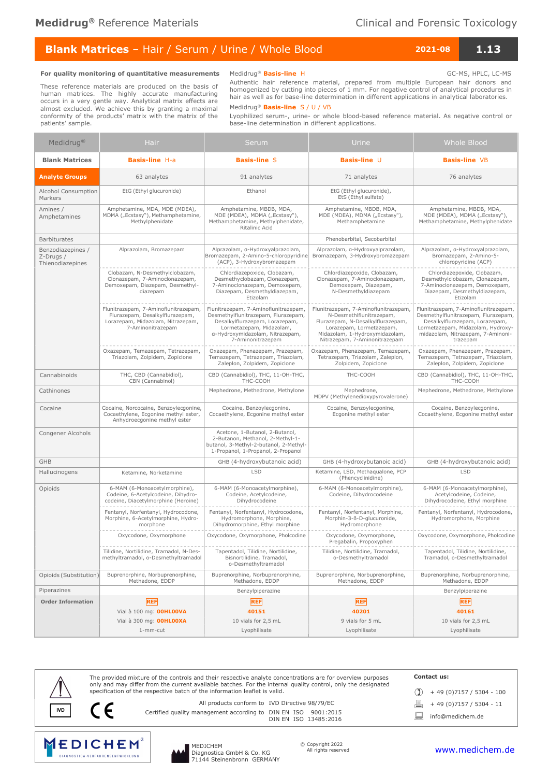# Blank Matrices - Hair / Serum / Urine / Whole Blood 2021-08 2021-08 1.13

#### For quality monitoring of quantitative measurements

These reference materials are produced on the basis of human matrices. The highly accurate manufacturing occurs in a very gentle way. Analytical matrix effects are almost excluded. We achieve this by granting a maximal conformity of the products' matrix with the matrix of the patients' sample.

Medidrug<sup>®</sup> Basis-line H GC-MS, HPLC, LC-MS Authentic hair reference material, prepared from multiple European hair donors and homogenized by cutting into pieces of 1 mm. For negative control of analytical procedures in hair as well as for base-line determination in different applications in analytical laboratories.

Medidrug<sup>®</sup> Basis-line S / U / VB

Lyophilized serum-, urine- or whole blood-based reference material. As negative control or base-line determination in different applications.

| Medidrug <sup>®</sup>                              | <b>Hair</b>                                                                                                                       | Serum                                                                                                                                                                                             | Urine                                                                                                                                                                                                | <b>Whole Blood</b>                                                                                                                                                                                  |  |  |
|----------------------------------------------------|-----------------------------------------------------------------------------------------------------------------------------------|---------------------------------------------------------------------------------------------------------------------------------------------------------------------------------------------------|------------------------------------------------------------------------------------------------------------------------------------------------------------------------------------------------------|-----------------------------------------------------------------------------------------------------------------------------------------------------------------------------------------------------|--|--|
| <b>Blank Matrices</b>                              | <b>Basis-line H-a</b>                                                                                                             | <b>Basis-line S</b>                                                                                                                                                                               | Basis-line U                                                                                                                                                                                         | <b>Basis-line VB</b>                                                                                                                                                                                |  |  |
| <b>Analyte Groups</b>                              | 63 analytes                                                                                                                       | 91 analytes                                                                                                                                                                                       | 71 analytes                                                                                                                                                                                          | 76 analytes                                                                                                                                                                                         |  |  |
| Alcohol Consumption<br>Markers                     | EtG (Ethyl glucuronide)                                                                                                           | Ethanol                                                                                                                                                                                           | EtG (Ethyl glucuronide),<br>EtS (Ethyl sulfate)                                                                                                                                                      |                                                                                                                                                                                                     |  |  |
| Amines /<br>Amphetamines                           | Amphetamine, MDA, MDE (MDEA),<br>MDMA ("Ecstasy"), Methamphetamine,<br>Methylphenidate                                            | Amphetamine, MBDB, MDA,<br>MDE (MDEA), MDMA ("Ecstasy"),<br>Methamphetamine, Methylphenidate,<br>Ritalinic Acid                                                                                   | Amphetamine, MBDB, MDA,<br>MDE (MDEA), MDMA ("Ecstasy"),<br>Methamphetamine                                                                                                                          | Amphetamine, MBDB, MDA,<br>MDE (MDEA), MDMA ("Ecstasy"),<br>Methamphetamine, Methylphenidate                                                                                                        |  |  |
| <b>Barbiturates</b>                                |                                                                                                                                   |                                                                                                                                                                                                   | Phenobarbital, Secobarbital                                                                                                                                                                          |                                                                                                                                                                                                     |  |  |
| Benzodiazepines /<br>Z-Drugs /<br>Thienodiazepines | Alprazolam, Bromazepam                                                                                                            | Alprazolam, a-Hydroxyalprazolam,<br>Bromazepam, 2-Amino-5-chloropyridine<br>(ACP), 3-Hydroxybromazepam                                                                                            | Alprazolam, a-Hydroxyalprazolam,<br>Bromazepam, 3-Hydroxybromazepam                                                                                                                                  | Alprazolam, a-Hydroxyalprazolam,<br>Bromazepam, 2-Amino-5-<br>chloropyridine (ACP)                                                                                                                  |  |  |
|                                                    | Clobazam, N-Desmethylclobazam,<br>Clonazepam, 7-Aminoclonazepam,<br>Demoxepam, Diazepam, Desmethyl-<br>diazepam                   | Chlordiazepoxide, Clobazam,<br>Desmethyclobazam, Clonazepam,<br>7-Aminoclonazepam, Demoxepam,<br>Diazepam, Desmethyldiazepam,<br>Etizolam                                                         | Chlordiazepoxide, Clobazam,<br>Clonazepam, 7-Aminoclonazepam,<br>Demoxepam, Diazepam,<br>N-Desmethyldiazepam                                                                                         | Chlordiazepoxide, Clobazam,<br>Desmethylclobazam, Clonazepam,<br>7-Aminoclonazepam, Demoxepam,<br>Diazepam, Desmethyldiazepam,<br>Etizolam                                                          |  |  |
|                                                    | Flunitrazepam, 7-Aminoflunitrazepam,<br>Flurazepam, Desalkylflurazepam,<br>Lorazepam, Midazolam, Nitrazepam,<br>7-Aminonitrazepam | Flunitrazepam, 7-Aminoflunitrazepam,<br>Desmethylflunitrazepam, Flurazepam,<br>Desalkylflurazepam, Lorazepam,<br>Lormetazepam, Midazolam,<br>a-Hydroxymidazolam, Nitrazepam,<br>7-Aminonitrazepam | Flunitrazepam, 7-Aminoflunitrazepam,<br>N-Desmethlflunitrazepam,<br>Flurazepam, N-Desalkylflurazepam,<br>Lorazepam, Lormetazepam,<br>Midazolam, 1-Hydroxymidazolam,<br>Nitrazepam, 7-Aminonitrazepam | Flunitrazepam, 7-Aminoflunitrazepam,<br>Desmethylflunitrazepam, Flurazepam,<br>Desalkylflurazepam, Lorazepam,<br>Lormetazepam, Midazolam, Hydroxy-<br>midazolam, Nitrazepam, 7-Aminoni-<br>trazepam |  |  |
|                                                    | Oxazepam, Temazepam, Tetrazepam,<br>Triazolam, Zolpidem, Zopiclone                                                                | Oxazepam, Phenazepam, Prazepam,<br>Temazepam, Tetrazepam, Triazolam,<br>Zaleplon, Zolpidem, Zopiclone                                                                                             | Oxazepam, Phenazepam, Temazepam,<br>Tetrazepam, Triazolam, Zaleplon,<br>Zolpidem, Zopiclone                                                                                                          | Oxazepam, Phenazepam, Prazepam,<br>Temazepam, Tetrazepam, Triazolam,<br>Zaleplon, Zolpidem, Zopiclone                                                                                               |  |  |
| Cannabinoids                                       | THC, CBD (Cannabidiol),<br>CBN (Cannabinol)                                                                                       | CBD (Cannabidiol), THC, 11-OH-THC,<br>THC-COOH                                                                                                                                                    | THC-COOH                                                                                                                                                                                             | CBD (Cannabidiol), THC, 11-OH-THC,<br>THC-COOH                                                                                                                                                      |  |  |
| Cathinones                                         |                                                                                                                                   | Mephedrone, Methedrone, Methylone                                                                                                                                                                 | Mephedrone,<br>MDPV (Methylenedioxypyrovalerone)                                                                                                                                                     | Mephedrone, Methedrone, Methylone                                                                                                                                                                   |  |  |
| Cocaine                                            | Cocaine, Norcocaine, Benzoylecgonine,<br>Cocaethylene, Ecgonine methyl ester,<br>Anhydroecgonine methyl ester                     | Cocaine, Benzoylecgonine,<br>Cocaethylene, Ecgonine methyl ester                                                                                                                                  | Cocaine, Benzoylecgonine,<br>Ecgonine methyl ester                                                                                                                                                   | Cocaine, Benzoylecgonine,<br>Cocaethylene, Ecgonine methyl ester                                                                                                                                    |  |  |
| Congener Alcohols                                  |                                                                                                                                   | Acetone, 1-Butanol, 2-Butanol,<br>2-Butanon, Methanol, 2-Methyl-1-<br>butanol, 3-Methyl-2-butanol, 2-Methyl-<br>1-Propanol, 1-Propanol, 2-Propanol                                                |                                                                                                                                                                                                      |                                                                                                                                                                                                     |  |  |
| <b>GHB</b>                                         | GHB (4-hydroxybutanoic acid)                                                                                                      |                                                                                                                                                                                                   | GHB (4-hydroxybutanoic acid)                                                                                                                                                                         | GHB (4-hydroxybutanoic acid)                                                                                                                                                                        |  |  |
| Hallucinogens                                      | Ketamine, Norketamine                                                                                                             | <b>LSD</b>                                                                                                                                                                                        | Ketamine, LSD, Methaqualone, PCP<br>(Phencyclinidine)                                                                                                                                                | <b>LSD</b>                                                                                                                                                                                          |  |  |
| Opioids                                            | 6-MAM (6-Monoacetylmorphine),<br>Codeine, 6-Acetylcodeine, Dihydro-<br>codeine, Diacetylmorphine (Heroine)                        | 6-MAM (6-Monoacetylmorphine),<br>Codeine, Acetylcodeine,<br>Dihydrocodeine                                                                                                                        | 6-MAM (6-Monoacetylmorphine),<br>Codeine, Dihydrocodeine                                                                                                                                             | 6-MAM (6-Monoacetylmorphine),<br>Acetylcodeine, Codeine,<br>Dihydrocodeine, Ethyl morphine                                                                                                          |  |  |
|                                                    | Fentanyl, Norfentanyl, Hydrocodone,<br>Morphine, 6-Acetylmorphine, Hydro-<br>morphone                                             | Fentanyl, Norfentanyl, Hydrocodone,<br>Hydromorphone, Morphine,<br>Dihydromorphine, Ethyl morphine                                                                                                | Fentanyl, Norfentanyl, Morphine,<br>Morphin-3-ß-D-glucuronide,<br>Hydromorphone                                                                                                                      | Fentanyl, Norfentanyl, Hydrocodone,<br>Hydromorphone, Morphine                                                                                                                                      |  |  |
|                                                    | Oxycodone, Oxymorphone                                                                                                            | Oxycodone, Oxymorphone, Pholcodine                                                                                                                                                                | Oxycodone, Oxymorphone,<br>Pregabalin, Propoxyphen                                                                                                                                                   | Oxycodone, Oxymorphone, Pholcodine                                                                                                                                                                  |  |  |
|                                                    | Tilidine, Nortilidine, Tramadol, N-Des-<br>methyltramadol, o-Desmethyltramadol                                                    | Tapentadol, Tilidine, Nortilidine,<br>Bisnortilidine, Tramadol,<br>o-Desmethyltramadol                                                                                                            | Tilidine, Nortilidine, Tramadol,<br>o-Desmethyltramadol                                                                                                                                              | Tapentadol, Tilidine, Nortilidine,<br>Tramadol, o-Desmethyltramadol                                                                                                                                 |  |  |
| Opioids (Substitution)                             | Buprenorphine, Norbuprenorphine,<br>Methadone, EDDP                                                                               | Buprenorphine, Norbuprenorphine,<br>Methadone, EDDP                                                                                                                                               | Buprenorphine, Norbuprenorphine,<br>Methadone, EDDP                                                                                                                                                  | Buprenorphine, Norbuprenorphine,<br>Methadone, EDDP                                                                                                                                                 |  |  |
| Piperazines                                        |                                                                                                                                   | Benzylpiperazine                                                                                                                                                                                  |                                                                                                                                                                                                      | Benzylpiperazine                                                                                                                                                                                    |  |  |
| <b>Order Information</b>                           | <b>REF</b><br>Vial à 100 mg: <b>00HL00VA</b>                                                                                      | <b>REF</b><br>40151                                                                                                                                                                               | <b>REF</b><br>40201                                                                                                                                                                                  | <b>REF</b><br>40161                                                                                                                                                                                 |  |  |
|                                                    | Vial à 300 mg: OOHLOOXA                                                                                                           | 10 vials for 2,5 mL                                                                                                                                                                               | 9 vials for 5 mL                                                                                                                                                                                     | 10 vials for 2,5 mL                                                                                                                                                                                 |  |  |
|                                                    | 1-mm-cut                                                                                                                          | Lyophilisate                                                                                                                                                                                      | Lyophilisate                                                                                                                                                                                         | Lyophilisate                                                                                                                                                                                        |  |  |

The provided mixture of the controls and their respective analyte concentrations are for overview purposes only and may differ from the current available batches. For the internal quality control, only the designated specification of the respective batch of the information leaflet is valid. Contact us:  $\textcircled{1}$  + 49 (0)7157 / 5304 - 100  $\boxed{=}$  + 49 (0)7157 / 5304 - 11 IND All products conform to IVD Directive 98/79/EC and All products conform to IVD Directive 98/79/EC and All<br>DIN EN ISO 9001:2015 DIN EN ISO 13485:2016 and Comedichem.de All products conform to IVD Directive 98/79/EC





MEDICHEM Diagnostica GmbH & Co. KG 71144 Steinenbronn GERMANY © Copyright 2022 All rights reserved

# www.medichem.de